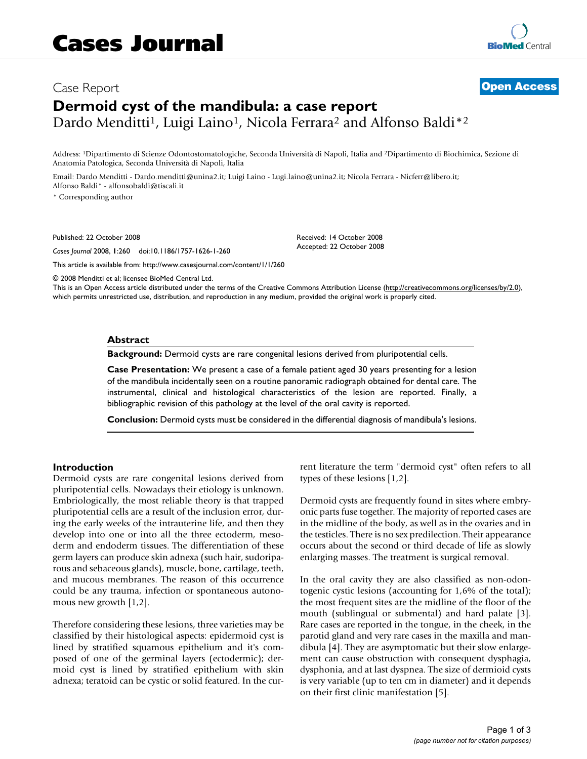# Case Report **[Open Access](http://www.biomedcentral.com/info/about/charter/) Dermoid cyst of the mandibula: a case report** Dardo Menditti<sup>1</sup>, Luigi Laino<sup>1</sup>, Nicola Ferrara<sup>2</sup> and Alfonso Baldi<sup>\*2</sup>

Address: 1Dipartimento di Scienze Odontostomatologiche, Seconda Università di Napoli, Italia and 2Dipartimento di Biochimica, Sezione di Anatomia Patologica, Seconda Università di Napoli, Italia

Email: Dardo Menditti - Dardo.menditti@unina2.it; Luigi Laino - Lugi.laino@unina2.it; Nicola Ferrara - Nicferr@libero.it; Alfonso Baldi\* - alfonsobaldi@tiscali.it

\* Corresponding author

Published: 22 October 2008

*Cases Journal* 2008, **1**:260 doi:10.1186/1757-1626-1-260

[This article is available from: http://www.casesjournal.com/content/1/1/260](http://www.casesjournal.com/content/1/1/260)

© 2008 Menditti et al; licensee BioMed Central Ltd.

This is an Open Access article distributed under the terms of the Creative Commons Attribution License [\(http://creativecommons.org/licenses/by/2.0\)](http://creativecommons.org/licenses/by/2.0), which permits unrestricted use, distribution, and reproduction in any medium, provided the original work is properly cited.

Received: 14 October 2008 Accepted: 22 October 2008

#### **Abstract**

**Background:** Dermoid cysts are rare congenital lesions derived from pluripotential cells.

**Case Presentation:** We present a case of a female patient aged 30 years presenting for a lesion of the mandibula incidentally seen on a routine panoramic radiograph obtained for dental care. The instrumental, clinical and histological characteristics of the lesion are reported. Finally, a bibliographic revision of this pathology at the level of the oral cavity is reported.

**Conclusion:** Dermoid cysts must be considered in the differential diagnosis of mandibula's lesions.

#### **Introduction**

Dermoid cysts are rare congenital lesions derived from pluripotential cells. Nowadays their etiology is unknown. Embriologically, the most reliable theory is that trapped pluripotential cells are a result of the inclusion error, during the early weeks of the intrauterine life, and then they develop into one or into all the three ectoderm, mesoderm and endoderm tissues. The differentiation of these germ layers can produce skin adnexa (such hair, sudoriparous and sebaceous glands), muscle, bone, cartilage, teeth, and mucous membranes. The reason of this occurrence could be any trauma, infection or spontaneous autonomous new growth [1,2].

Therefore considering these lesions, three varieties may be classified by their histological aspects: epidermoid cyst is lined by stratified squamous epithelium and it's composed of one of the germinal layers (ectodermic); dermoid cyst is lined by stratified epithelium with skin adnexa; teratoid can be cystic or solid featured. In the current literature the term "dermoid cyst" often refers to all types of these lesions [1,2].

Dermoid cysts are frequently found in sites where embryonic parts fuse together. The majority of reported cases are in the midline of the body, as well as in the ovaries and in the testicles. There is no sex predilection. Their appearance occurs about the second or third decade of life as slowly enlarging masses. The treatment is surgical removal.

In the oral cavity they are also classified as non-odontogenic cystic lesions (accounting for 1,6% of the total); the most frequent sites are the midline of the floor of the mouth (sublingual or submental) and hard palate [3]. Rare cases are reported in the tongue, in the cheek, in the parotid gland and very rare cases in the maxilla and mandibula [4]. They are asymptomatic but their slow enlargement can cause obstruction with consequent dysphagia, dysphonia, and at last dyspnea. The size of dermioid cysts is very variable (up to ten cm in diameter) and it depends on their first clinic manifestation [5].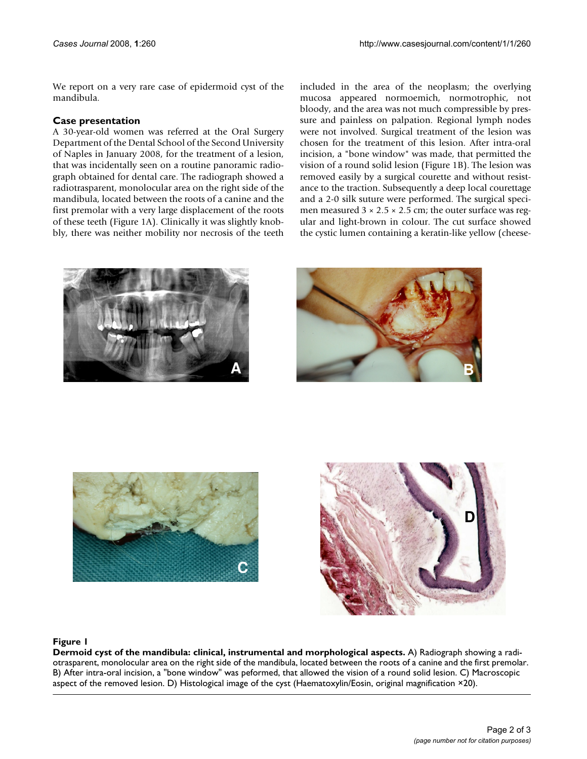We report on a very rare case of epidermoid cyst of the mandibula.

# **Case presentation**

A 30-year-old women was referred at the Oral Surgery Department of the Dental School of the Second University of Naples in January 2008, for the treatment of a lesion, that was incidentally seen on a routine panoramic radiograph obtained for dental care. The radiograph showed a radiotrasparent, monolocular area on the right side of the mandibula, located between the roots of a canine and the first premolar with a very large displacement of the roots of these teeth (Figure 1A). Clinically it was slightly knobbly, there was neither mobility nor necrosis of the teeth included in the area of the neoplasm; the overlying mucosa appeared normoemich, normotrophic, not bloody, and the area was not much compressible by pressure and painless on palpation. Regional lymph nodes were not involved. Surgical treatment of the lesion was chosen for the treatment of this lesion. After intra-oral incision, a "bone window" was made, that permitted the vision of a round solid lesion (Figure 1B). The lesion was removed easily by a surgical courette and without resistance to the traction. Subsequently a deep local courettage and a 2-0 silk suture were performed. The surgical specimen measured  $3 \times 2.5 \times 2.5$  cm; the outer surface was regular and light-brown in colour. The cut surface showed the cystic lumen containing a keratin-like yellow (cheese-









## Figure 1

**Dermoid cyst of the mandibula: clinical, instrumental and morphological aspects.** A) Radiograph showing a radiotrasparent, monolocular area on the right side of the mandibula, located between the roots of a canine and the first premolar. B) After intra-oral incision, a "bone window" was peformed, that allowed the vision of a round solid lesion. C) Macroscopic aspect of the removed lesion. D) Histological image of the cyst (Haematoxylin/Eosin, original magnification ×20).